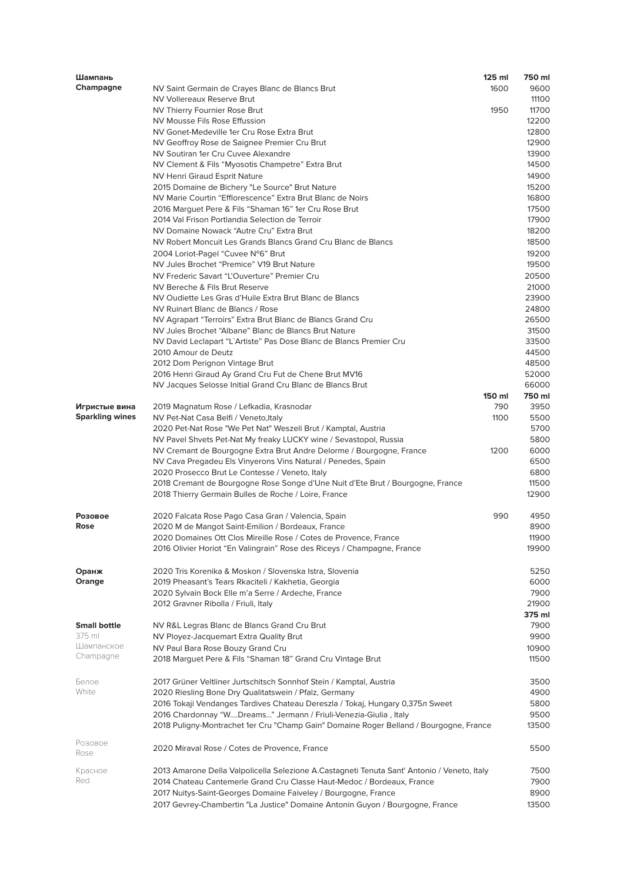| Шампань                |                                                                                             | $125$ ml | 750 ml |
|------------------------|---------------------------------------------------------------------------------------------|----------|--------|
| Champagne              | NV Saint Germain de Crayes Blanc de Blancs Brut                                             | 1600     | 9600   |
|                        | NV Vollereaux Reserve Brut                                                                  |          | 11100  |
|                        | NV Thierry Fournier Rose Brut                                                               | 1950     | 11700  |
|                        | NV Mousse Fils Rose Effussion                                                               |          | 12200  |
|                        | NV Gonet-Medeville 1er Cru Rose Extra Brut                                                  |          | 12800  |
|                        | NV Geoffroy Rose de Saignee Premier Cru Brut                                                |          | 12900  |
|                        | NV Soutiran 1er Cru Cuvee Alexandre                                                         |          | 13900  |
|                        | NV Clement & Fils "Myosotis Champetre" Extra Brut                                           |          | 14500  |
|                        |                                                                                             |          | 14900  |
|                        | <b>NV Henri Giraud Esprit Nature</b>                                                        |          |        |
|                        | 2015 Domaine de Bichery "Le Source" Brut Nature                                             |          | 15200  |
|                        | NV Marie Courtin "Efflorescence" Extra Brut Blanc de Noirs                                  |          | 16800  |
|                        | 2016 Marguet Pere & Fils "Shaman 16" 1er Cru Rose Brut                                      |          | 17500  |
|                        | 2014 Val Frison Portlandia Selection de Terroir                                             |          | 17900  |
|                        | NV Domaine Nowack "Autre Cru" Extra Brut                                                    |          | 18200  |
|                        | NV Robert Moncuit Les Grands Blancs Grand Cru Blanc de Blancs                               |          | 18500  |
|                        | 2004 Loriot-Pagel "Cuvee N°6" Brut                                                          |          | 19200  |
|                        | NV Jules Brochet "Premice" V19 Brut Nature                                                  |          | 19500  |
|                        | NV Frederic Savart "L'Ouverture" Premier Cru                                                |          | 20500  |
|                        | NV Bereche & Fils Brut Reserve                                                              |          | 21000  |
|                        | NV Oudiette Les Gras d'Huile Extra Brut Blanc de Blancs                                     |          | 23900  |
|                        | NV Ruinart Blanc de Blancs / Rose                                                           |          | 24800  |
|                        | NV Agrapart "Terroirs" Extra Brut Blanc de Blancs Grand Cru                                 |          | 26500  |
|                        | NV Jules Brochet "Albane" Blanc de Blancs Brut Nature                                       |          | 31500  |
|                        | NV David Leclapart "L'Artiste" Pas Dose Blanc de Blancs Premier Cru                         |          | 33500  |
|                        | 2010 Amour de Deutz                                                                         |          |        |
|                        |                                                                                             |          | 44500  |
|                        | 2012 Dom Perignon Vintage Brut                                                              |          | 48500  |
|                        | 2016 Henri Giraud Ay Grand Cru Fut de Chene Brut MV16                                       |          | 52000  |
|                        | NV Jacques Selosse Initial Grand Cru Blanc de Blancs Brut                                   |          | 66000  |
|                        |                                                                                             | 150 ml   | 750 ml |
| Игристые вина          | 2019 Magnatum Rose / Lefkadia, Krasnodar                                                    | 790      | 3950   |
| <b>Sparkling wines</b> | NV Pet-Nat Casa Belfi / Veneto, Italy                                                       | 1100     | 5500   |
|                        | 2020 Pet-Nat Rose "We Pet Nat" Weszeli Brut / Kamptal, Austria                              |          | 5700   |
|                        | NV Pavel Shvets Pet-Nat My freaky LUCKY wine / Sevastopol, Russia                           |          | 5800   |
|                        | NV Cremant de Bourgogne Extra Brut Andre Delorme / Bourgogne, France                        | 1200     | 6000   |
|                        | NV Cava Pregadeu Els Vinyerons Vins Natural / Penedes, Spain                                |          | 6500   |
|                        | 2020 Prosecco Brut Le Contesse / Veneto, Italy                                              |          | 6800   |
|                        | 2018 Cremant de Bourgogne Rose Songe d'Une Nuit d'Ete Brut / Bourgogne, France              |          | 11500  |
|                        | 2018 Thierry Germain Bulles de Roche / Loire, France                                        |          | 12900  |
|                        |                                                                                             |          |        |
| Розовое                | 2020 Falcata Rose Pago Casa Gran / Valencia, Spain                                          | 990      | 4950   |
| Rose                   | 2020 M de Mangot Saint-Emilion / Bordeaux, France                                           |          | 8900   |
|                        | 2020 Domaines Ott Clos Mireille Rose / Cotes de Provence, France                            |          | 11900  |
|                        |                                                                                             |          | 19900  |
|                        | 2016 Olivier Horiot "En Valingrain" Rose des Riceys / Champagne, France                     |          |        |
|                        |                                                                                             |          |        |
| Оранж                  | 2020 Tris Korenika & Moskon / Slovenska Istra, Slovenia                                     |          | 5250   |
| Orange                 | 2019 Pheasant's Tears Rkaciteli / Kakhetia, Georgia                                         |          | 6000   |
|                        | 2020 Sylvain Bock Elle m'a Serre / Ardeche, France                                          |          | 7900   |
|                        | 2012 Gravner Ribolla / Friuli, Italy                                                        |          | 21900  |
|                        |                                                                                             |          | 375 ml |
| <b>Small bottle</b>    | NV R&L Legras Blanc de Blancs Grand Cru Brut                                                |          | 7900   |
| 375 ml                 | NV Ployez-Jacquemart Extra Quality Brut                                                     |          | 9900   |
| Шампанское             | NV Paul Bara Rose Bouzy Grand Cru                                                           |          | 10900  |
| Champagne              | 2018 Marguet Pere & Fils "Shaman 18" Grand Cru Vintage Brut                                 |          | 11500  |
|                        |                                                                                             |          |        |
| Белое                  | 2017 Grüner Veltliner Jurtschitsch Sonnhof Stein / Kamptal, Austria                         |          | 3500   |
| White                  | 2020 Riesling Bone Dry Qualitatswein / Pfalz, Germany                                       |          | 4900   |
|                        | 2016 Tokaji Vendanges Tardives Chateau Dereszla / Tokaj, Hungary 0,375л Sweet               |          | 5800   |
|                        |                                                                                             |          | 9500   |
|                        | 2016 Chardonnay "WDreams" Jermann / Friuli-Venezia-Giulia, Italy                            |          |        |
|                        | 2018 Puligny-Montrachet 1er Cru "Champ Gain" Domaine Roger Belland / Bourgogne, France      |          | 13500  |
| Розовое                | 2020 Miraval Rose / Cotes de Provence, France                                               |          | 5500   |
| Rose                   |                                                                                             |          |        |
| Красное                | 2013 Amarone Della Valpolicella Selezione A.Castagneti Tenuta Sant' Antonio / Veneto, Italy |          | 7500   |
| Red                    | 2014 Chateau Cantemerle Grand Cru Classe Haut-Medoc / Bordeaux, France                      |          | 7900   |
|                        | 2017 Nuitys-Saint-Georges Domaine Faiveley / Bourgogne, France                              |          | 8900   |
|                        | 2017 Gevrey-Chambertin "La Justice" Domaine Antonin Guyon / Bourgogne, France               |          | 13500  |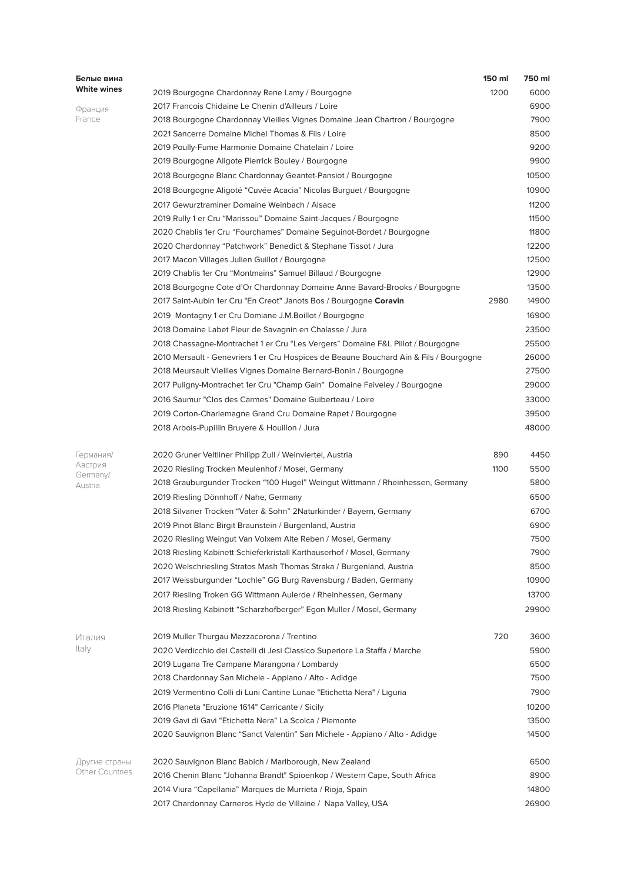| Белые вина          |                                                                                        | 150 ml | 750 ml |
|---------------------|----------------------------------------------------------------------------------------|--------|--------|
| White wines         | 2019 Bourgogne Chardonnay Rene Lamy / Bourgogne                                        | 1200   | 6000   |
| Франция             | 2017 Francois Chidaine Le Chenin d'Ailleurs / Loire                                    |        | 6900   |
| France              | 2018 Bourgogne Chardonnay Vieilles Vignes Domaine Jean Chartron / Bourgogne            |        | 7900   |
|                     | 2021 Sancerre Domaine Michel Thomas & Fils / Loire                                     |        | 8500   |
|                     | 2019 Poully-Fume Harmonie Domaine Chatelain / Loire                                    |        | 9200   |
|                     | 2019 Bourgogne Aligote Pierrick Bouley / Bourgogne                                     |        | 9900   |
|                     | 2018 Bourgogne Blanc Chardonnay Geantet-Pansiot / Bourgogne                            |        | 10500  |
|                     | 2018 Bourgogne Aligoté "Cuvée Acacia" Nicolas Burguet / Bourgogne                      |        | 10900  |
|                     | 2017 Gewurztraminer Domaine Weinbach / Alsace                                          |        | 11200  |
|                     | 2019 Rully 1 er Cru "Marissou" Domaine Saint-Jacques / Bourgogne                       |        | 11500  |
|                     | 2020 Chablis 1er Cru "Fourchames" Domaine Seguinot-Bordet / Bourgogne                  |        | 11800  |
|                     | 2020 Chardonnay "Patchwork" Benedict & Stephane Tissot / Jura                          |        | 12200  |
|                     | 2017 Macon Villages Julien Guillot / Bourgogne                                         |        | 12500  |
|                     | 2019 Chablis 1er Cru "Montmains" Samuel Billaud / Bourgogne                            |        | 12900  |
|                     | 2018 Bourgogne Cote d'Or Chardonnay Domaine Anne Bavard-Brooks / Bourgogne             |        | 13500  |
|                     | 2017 Saint-Aubin 1er Cru "En Creot" Janots Bos / Bourgogne Coravin                     | 2980   | 14900  |
|                     | 2019 Montagny 1 er Cru Domiane J.M.Boillot / Bourgogne                                 |        | 16900  |
|                     | 2018 Domaine Labet Fleur de Savagnin en Chalasse / Jura                                |        | 23500  |
|                     | 2018 Chassagne-Montrachet 1 er Cru "Les Vergers" Domaine F&L Pillot / Bourgogne        |        | 25500  |
|                     | 2010 Mersault - Genevriers 1 er Cru Hospices de Beaune Bouchard Ain & Fils / Bourgogne |        | 26000  |
|                     | 2018 Meursault Vieilles Vignes Domaine Bernard-Bonin / Bourgogne                       |        | 27500  |
|                     | 2017 Puligny-Montrachet 1er Cru "Champ Gain" Domaine Faiveley / Bourgogne              |        | 29000  |
|                     | 2016 Saumur "Clos des Carmes" Domaine Guiberteau / Loire                               |        | 33000  |
|                     | 2019 Corton-Charlemagne Grand Cru Domaine Rapet / Bourgogne                            |        | 39500  |
|                     | 2018 Arbois-Pupillin Bruyere & Houillon / Jura                                         |        | 48000  |
| Германия/           | 2020 Gruner Veltliner Philipp Zull / Weinviertel, Austria                              | 890    | 4450   |
| Австрия             | 2020 Riesling Trocken Meulenhof / Mosel, Germany                                       | 1100   | 5500   |
| Germany/<br>Austria | 2018 Grauburgunder Trocken "100 Hugel" Weingut Wittmann / Rheinhessen, Germany         |        | 5800   |
|                     | 2019 Riesling Dönnhoff / Nahe, Germany                                                 |        | 6500   |
|                     | 2018 Silvaner Trocken "Vater & Sohn" 2Naturkinder / Bayern, Germany                    |        | 6700   |
|                     | 2019 Pinot Blanc Birgit Braunstein / Burgenland, Austria                               |        | 6900   |
|                     | 2020 Riesling Weingut Van Volxem Alte Reben / Mosel, Germany                           |        | 7500   |
|                     | 2018 Riesling Kabinett Schieferkristall Karthauserhof / Mosel, Germany                 |        | 7900   |
|                     | 2020 Welschriesling Stratos Mash Thomas Straka / Burgenland, Austria                   |        | 8500   |
|                     | 2017 Weissburgunder "Lochle" GG Burg Ravensburg / Baden, Germany                       |        | 10900  |
|                     | 2017 Riesling Troken GG Wittmann Aulerde / Rheinhessen, Germany                        |        | 13700  |
|                     | 2018 Riesling Kabinett "Scharzhofberger" Egon Muller / Mosel, Germany                  |        | 29900  |
| Италия              | 2019 Muller Thurgau Mezzacorona / Trentino                                             | 720    | 3600   |
| Italy               | 2020 Verdicchio dei Castelli di Jesi Classico Superiore La Staffa / Marche             |        | 5900   |
|                     | 2019 Lugana Tre Campane Marangona / Lombardy                                           |        | 6500   |
|                     | 2018 Chardonnay San Michele - Appiano / Alto - Adidge                                  |        | 7500   |
|                     | 2019 Vermentino Colli di Luni Cantine Lunae "Etichetta Nera" / Liguria                 |        | 7900   |
|                     | 2016 Planeta "Eruzione 1614" Carricante / Sicily                                       |        | 10200  |
|                     | 2019 Gavi di Gavi "Etichetta Nera" La Scolca / Piemonte                                |        | 13500  |
|                     | 2020 Sauvignon Blanc "Sanct Valentin" San Michele - Appiano / Alto - Adidge            |        | 14500  |
| Другие страны       | 2020 Sauvignon Blanc Babich / Marlborough, New Zealand                                 |        | 6500   |
| Other Countries     | 2016 Chenin Blanc "Johanna Brandt" Spioenkop / Western Cape, South Africa              |        | 8900   |
|                     | 2014 Viura "Capellania" Marques de Murrieta / Rioja, Spain                             |        | 14800  |
|                     | 2017 Chardonnay Carneros Hyde de Villaine / Napa Valley, USA                           |        | 26900  |